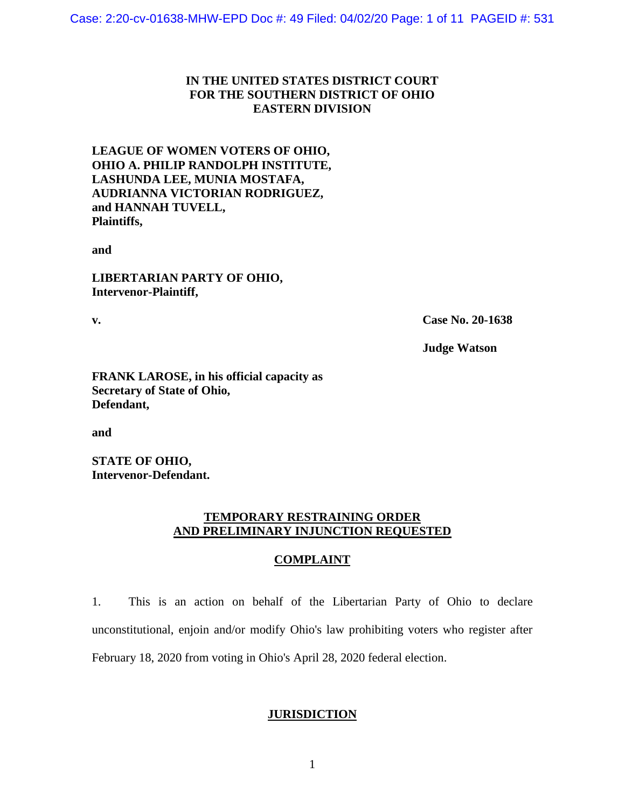# **IN THE UNITED STATES DISTRICT COURT FOR THE SOUTHERN DISTRICT OF OHIO EASTERN DIVISION**

**LEAGUE OF WOMEN VOTERS OF OHIO, OHIO A. PHILIP RANDOLPH INSTITUTE, LASHUNDA LEE, MUNIA MOSTAFA, AUDRIANNA VICTORIAN RODRIGUEZ, and HANNAH TUVELL, Plaintiffs,** 

**and**

**LIBERTARIAN PARTY OF OHIO, Intervenor-Plaintiff,**

**v. Case No. 20-1638**

**Judge Watson**

**FRANK LAROSE, in his official capacity as Secretary of State of Ohio, Defendant,**

**and**

**STATE OF OHIO, Intervenor-Defendant.**

## **TEMPORARY RESTRAINING ORDER AND PRELIMINARY INJUNCTION REQUESTED**

## **COMPLAINT**

1. This is an action on behalf of the Libertarian Party of Ohio to declare unconstitutional, enjoin and/or modify Ohio's law prohibiting voters who register after February 18, 2020 from voting in Ohio's April 28, 2020 federal election.

## **JURISDICTION**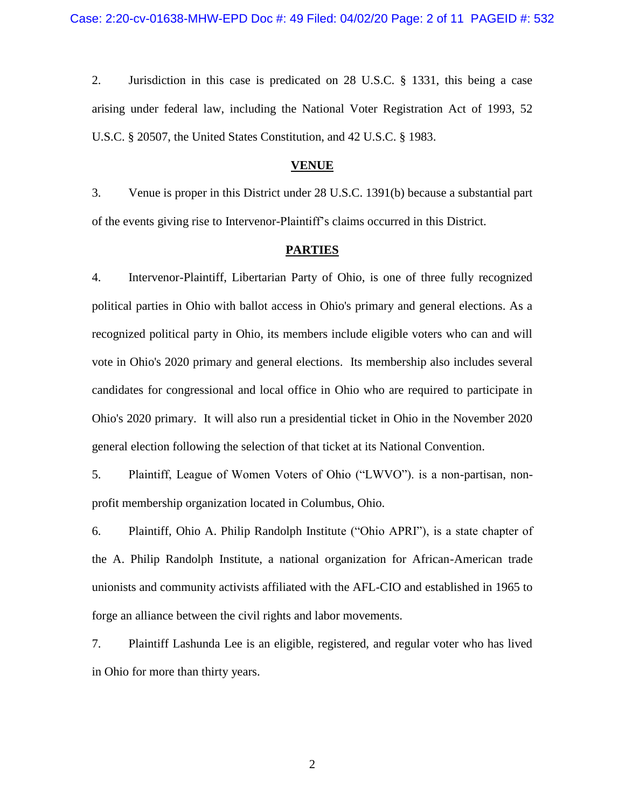2. Jurisdiction in this case is predicated on 28 U.S.C. § 1331, this being a case arising under federal law, including the National Voter Registration Act of 1993, 52 U.S.C. § 20507, the United States Constitution, and 42 U.S.C. § 1983.

#### **VENUE**

3. Venue is proper in this District under 28 U.S.C. 1391(b) because a substantial part of the events giving rise to Intervenor-Plaintiff's claims occurred in this District.

### **PARTIES**

4. Intervenor-Plaintiff, Libertarian Party of Ohio, is one of three fully recognized political parties in Ohio with ballot access in Ohio's primary and general elections. As a recognized political party in Ohio, its members include eligible voters who can and will vote in Ohio's 2020 primary and general elections. Its membership also includes several candidates for congressional and local office in Ohio who are required to participate in Ohio's 2020 primary. It will also run a presidential ticket in Ohio in the November 2020 general election following the selection of that ticket at its National Convention.

5. Plaintiff, League of Women Voters of Ohio ("LWVO"). is a non-partisan, nonprofit membership organization located in Columbus, Ohio.

6. Plaintiff, Ohio A. Philip Randolph Institute ("Ohio APRI"), is a state chapter of the A. Philip Randolph Institute, a national organization for African-American trade unionists and community activists affiliated with the AFL-CIO and established in 1965 to forge an alliance between the civil rights and labor movements.

7. Plaintiff Lashunda Lee is an eligible, registered, and regular voter who has lived in Ohio for more than thirty years.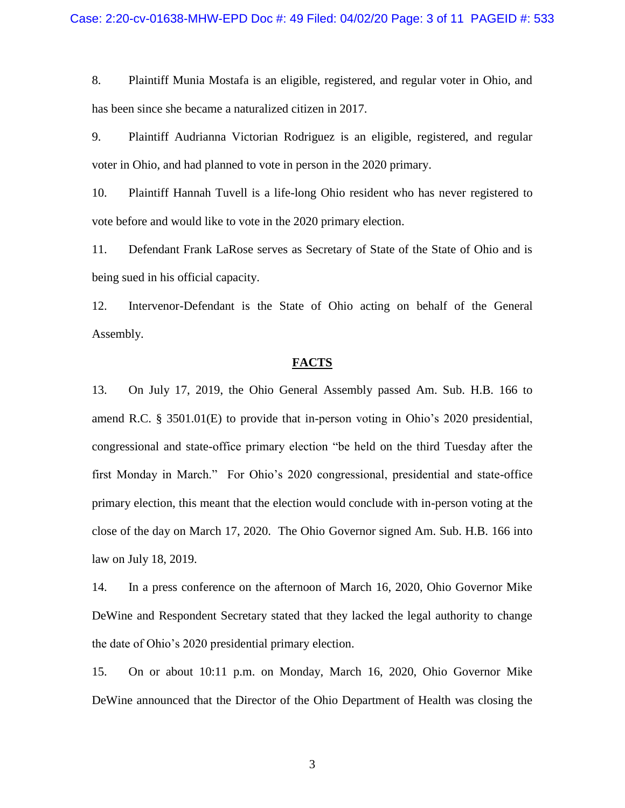8. Plaintiff Munia Mostafa is an eligible, registered, and regular voter in Ohio, and has been since she became a naturalized citizen in 2017.

9. Plaintiff Audrianna Victorian Rodriguez is an eligible, registered, and regular voter in Ohio, and had planned to vote in person in the 2020 primary.

10. Plaintiff Hannah Tuvell is a life-long Ohio resident who has never registered to vote before and would like to vote in the 2020 primary election.

11. Defendant Frank LaRose serves as Secretary of State of the State of Ohio and is being sued in his official capacity.

12. Intervenor-Defendant is the State of Ohio acting on behalf of the General Assembly.

## **FACTS**

13. On July 17, 2019, the Ohio General Assembly passed Am. Sub. H.B. 166 to amend R.C. § 3501.01(E) to provide that in-person voting in Ohio's 2020 presidential, congressional and state-office primary election "be held on the third Tuesday after the first Monday in March." For Ohio's 2020 congressional, presidential and state-office primary election, this meant that the election would conclude with in-person voting at the close of the day on March 17, 2020. The Ohio Governor signed Am. Sub. H.B. 166 into law on July 18, 2019.

14. In a press conference on the afternoon of March 16, 2020, Ohio Governor Mike DeWine and Respondent Secretary stated that they lacked the legal authority to change the date of Ohio's 2020 presidential primary election.

15. On or about 10:11 p.m. on Monday, March 16, 2020, Ohio Governor Mike DeWine announced that the Director of the Ohio Department of Health was closing the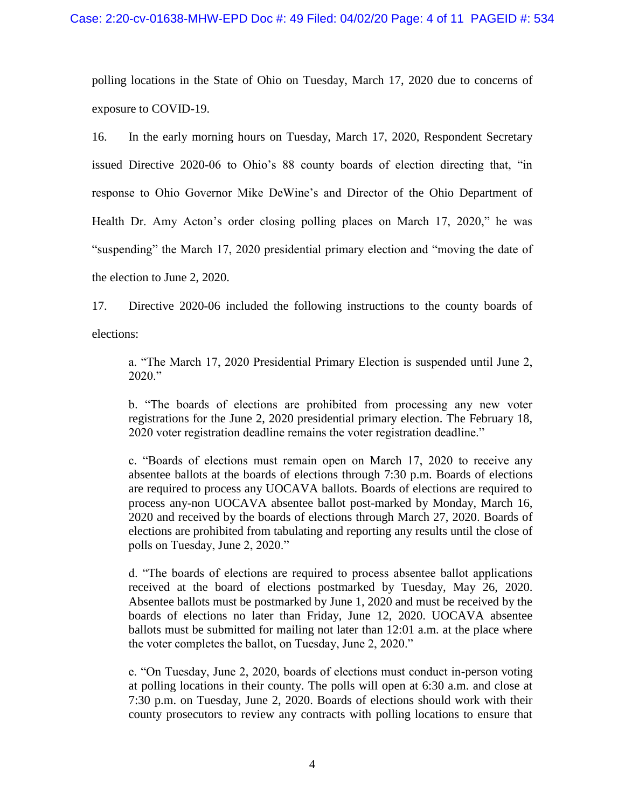polling locations in the State of Ohio on Tuesday, March 17, 2020 due to concerns of exposure to COVID-19.

16. In the early morning hours on Tuesday, March 17, 2020, Respondent Secretary issued Directive 2020-06 to Ohio's 88 county boards of election directing that, "in response to Ohio Governor Mike DeWine's and Director of the Ohio Department of Health Dr. Amy Acton's order closing polling places on March 17, 2020," he was "suspending" the March 17, 2020 presidential primary election and "moving the date of the election to June 2, 2020.

17. Directive 2020-06 included the following instructions to the county boards of elections:

a. "The March 17, 2020 Presidential Primary Election is suspended until June 2, 2020."

b. "The boards of elections are prohibited from processing any new voter registrations for the June 2, 2020 presidential primary election. The February 18, 2020 voter registration deadline remains the voter registration deadline."

c. "Boards of elections must remain open on March 17, 2020 to receive any absentee ballots at the boards of elections through 7:30 p.m. Boards of elections are required to process any UOCAVA ballots. Boards of elections are required to process any-non UOCAVA absentee ballot post-marked by Monday, March 16, 2020 and received by the boards of elections through March 27, 2020. Boards of elections are prohibited from tabulating and reporting any results until the close of polls on Tuesday, June 2, 2020."

d. "The boards of elections are required to process absentee ballot applications received at the board of elections postmarked by Tuesday, May 26, 2020. Absentee ballots must be postmarked by June 1, 2020 and must be received by the boards of elections no later than Friday, June 12, 2020. UOCAVA absentee ballots must be submitted for mailing not later than 12:01 a.m. at the place where the voter completes the ballot, on Tuesday, June 2, 2020."

e. "On Tuesday, June 2, 2020, boards of elections must conduct in-person voting at polling locations in their county. The polls will open at 6:30 a.m. and close at 7:30 p.m. on Tuesday, June 2, 2020. Boards of elections should work with their county prosecutors to review any contracts with polling locations to ensure that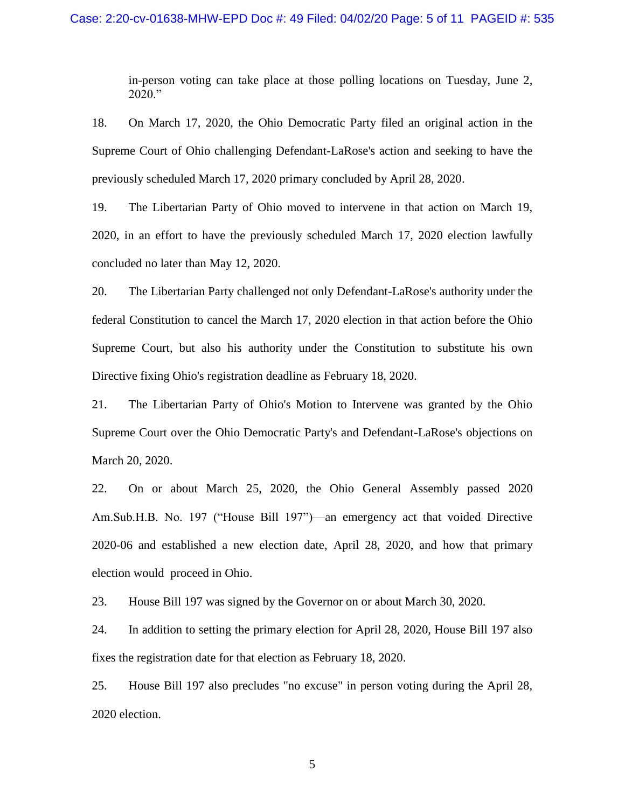in-person voting can take place at those polling locations on Tuesday, June 2, 2020."

18. On March 17, 2020, the Ohio Democratic Party filed an original action in the Supreme Court of Ohio challenging Defendant-LaRose's action and seeking to have the previously scheduled March 17, 2020 primary concluded by April 28, 2020.

19. The Libertarian Party of Ohio moved to intervene in that action on March 19, 2020, in an effort to have the previously scheduled March 17, 2020 election lawfully concluded no later than May 12, 2020.

20. The Libertarian Party challenged not only Defendant-LaRose's authority under the federal Constitution to cancel the March 17, 2020 election in that action before the Ohio Supreme Court, but also his authority under the Constitution to substitute his own Directive fixing Ohio's registration deadline as February 18, 2020.

21. The Libertarian Party of Ohio's Motion to Intervene was granted by the Ohio Supreme Court over the Ohio Democratic Party's and Defendant-LaRose's objections on March 20, 2020.

22. On or about March 25, 2020, the Ohio General Assembly passed 2020 Am.Sub.H.B. No. 197 ("House Bill 197")—an emergency act that voided Directive 2020-06 and established a new election date, April 28, 2020, and how that primary election would proceed in Ohio.

23. House Bill 197 was signed by the Governor on or about March 30, 2020.

24. In addition to setting the primary election for April 28, 2020, House Bill 197 also fixes the registration date for that election as February 18, 2020.

25. House Bill 197 also precludes "no excuse" in person voting during the April 28, 2020 election.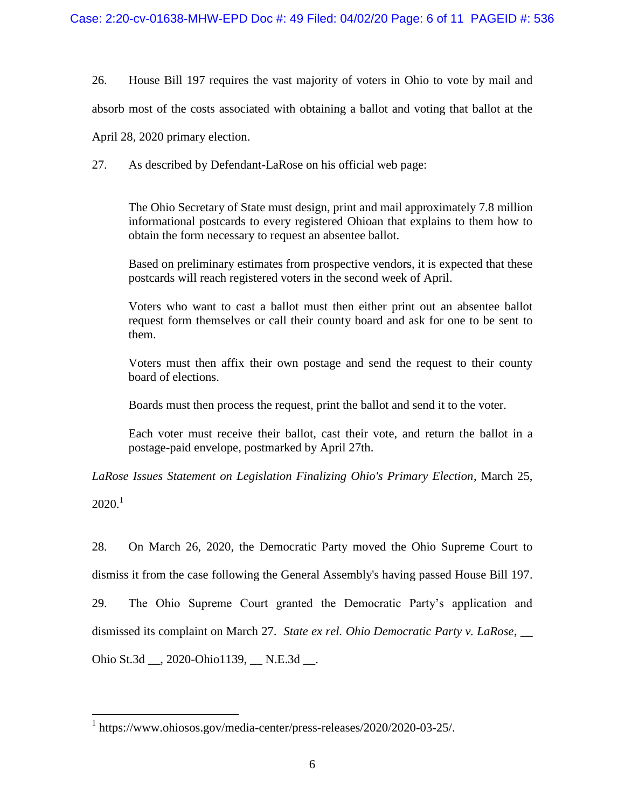26. House Bill 197 requires the vast majority of voters in Ohio to vote by mail and

absorb most of the costs associated with obtaining a ballot and voting that ballot at the

April 28, 2020 primary election.

27. As described by Defendant-LaRose on his official web page:

The Ohio Secretary of State must design, print and mail approximately 7.8 million informational postcards to every registered Ohioan that explains to them how to obtain the form necessary to request an absentee ballot.

Based on preliminary estimates from prospective vendors, it is expected that these postcards will reach registered voters in the second week of April.

Voters who want to cast a ballot must then either print out an absentee ballot request form themselves or call their county board and ask for one to be sent to them.

Voters must then affix their own postage and send the request to their county board of elections.

Boards must then process the request, print the ballot and send it to the voter.

Each voter must receive their ballot, cast their vote, and return the ballot in a postage-paid envelope, postmarked by April 27th.

*LaRose Issues Statement on Legislation Finalizing Ohio's Primary Election*, March 25,

 $2020<sup>1</sup>$ 

 $\overline{a}$ 

28. On March 26, 2020, the Democratic Party moved the Ohio Supreme Court to dismiss it from the case following the General Assembly's having passed House Bill 197.

29. The Ohio Supreme Court granted the Democratic Party's application and

dismissed its complaint on March 27. *State ex rel. Ohio Democratic Party v. LaRose*, \_\_

Ohio St.3d \_\_, 2020-Ohio1139, \_\_ N.E.3d \_\_.

<sup>1</sup> [https://www.ohiosos.gov/media-center/press-releases/2020/2020-03-25/.](https://www.ohiosos.gov/media-center/press-releases/2020/2020-03-25/)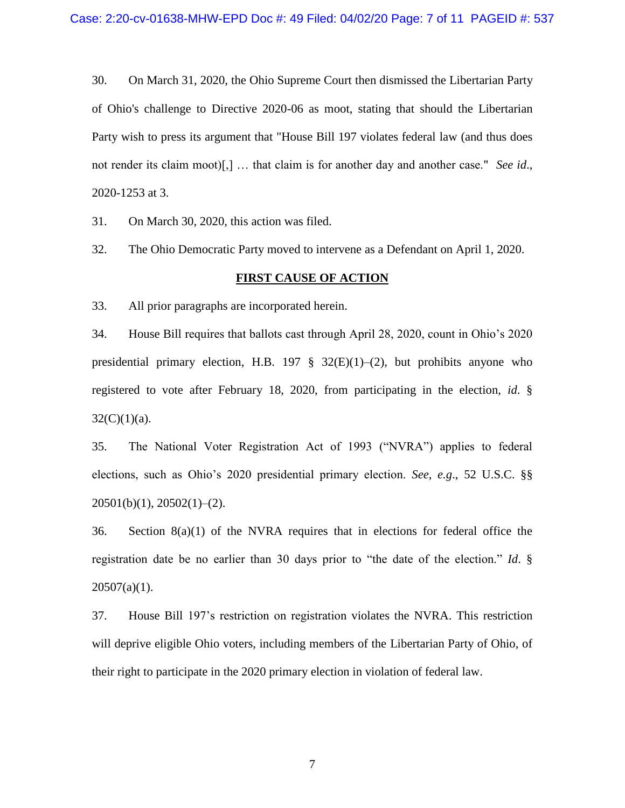30. On March 31, 2020, the Ohio Supreme Court then dismissed the Libertarian Party of Ohio's challenge to Directive 2020-06 as moot, stating that should the Libertarian Party wish to press its argument that "House Bill 197 violates federal law (and thus does not render its claim moot)[,] … that claim is for another day and another case." *See id*., 2020-1253 at 3.

31. On March 30, 2020, this action was filed.

32. The Ohio Democratic Party moved to intervene as a Defendant on April 1, 2020.

## **FIRST CAUSE OF ACTION**

33. All prior paragraphs are incorporated herein.

34. House Bill requires that ballots cast through April 28, 2020, count in Ohio's 2020 presidential primary election, H.B. 197  $\S$  32(E)(1)–(2), but prohibits anyone who registered to vote after February 18, 2020, from participating in the election, *id*. §  $32(C)(1)(a)$ .

35. The National Voter Registration Act of 1993 ("NVRA") applies to federal elections, such as Ohio's 2020 presidential primary election. *See*, *e.g*., 52 U.S.C. §§  $20501(b)(1)$ ,  $20502(1)–(2)$ .

36. Section  $8(a)(1)$  of the NVRA requires that in elections for federal office the registration date be no earlier than 30 days prior to "the date of the election." *Id*. §  $20507(a)(1)$ .

37. House Bill 197's restriction on registration violates the NVRA. This restriction will deprive eligible Ohio voters, including members of the Libertarian Party of Ohio, of their right to participate in the 2020 primary election in violation of federal law.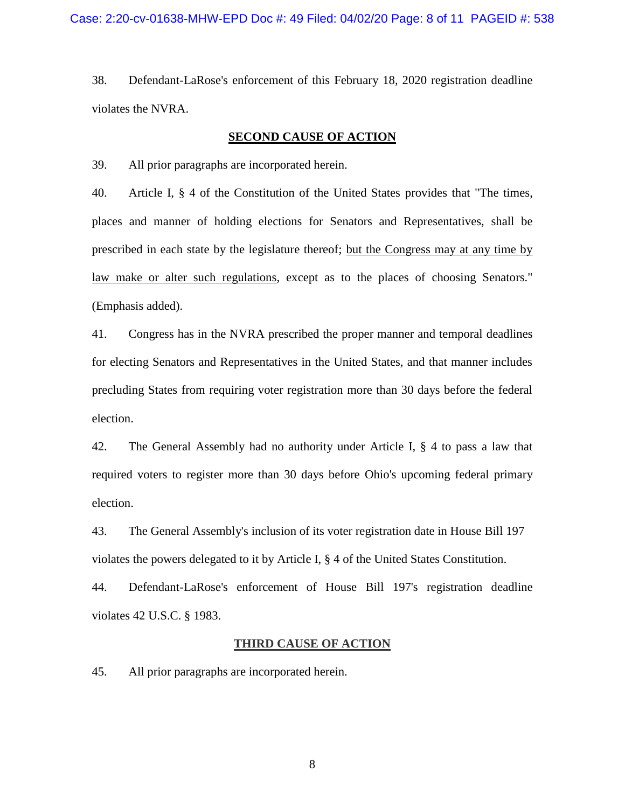38. Defendant-LaRose's enforcement of this February 18, 2020 registration deadline violates the NVRA.

### **SECOND CAUSE OF ACTION**

39. All prior paragraphs are incorporated herein.

40. Article I, § 4 of the Constitution of the United States provides that "The times, places and manner of holding elections for Senators and Representatives, shall be prescribed in each state by the legislature thereof; but the Congress may at any time by law make or alter such regulations, except as to the places of choosing Senators." (Emphasis added).

41. Congress has in the NVRA prescribed the proper manner and temporal deadlines for electing Senators and Representatives in the United States, and that manner includes precluding States from requiring voter registration more than 30 days before the federal election.

42. The General Assembly had no authority under Article I, § 4 to pass a law that required voters to register more than 30 days before Ohio's upcoming federal primary election.

43. The General Assembly's inclusion of its voter registration date in House Bill 197 violates the powers delegated to it by Article I, § 4 of the United States Constitution.

44. Defendant-LaRose's enforcement of House Bill 197's registration deadline violates 42 U.S.C. § 1983.

### **THIRD CAUSE OF ACTION**

45. All prior paragraphs are incorporated herein.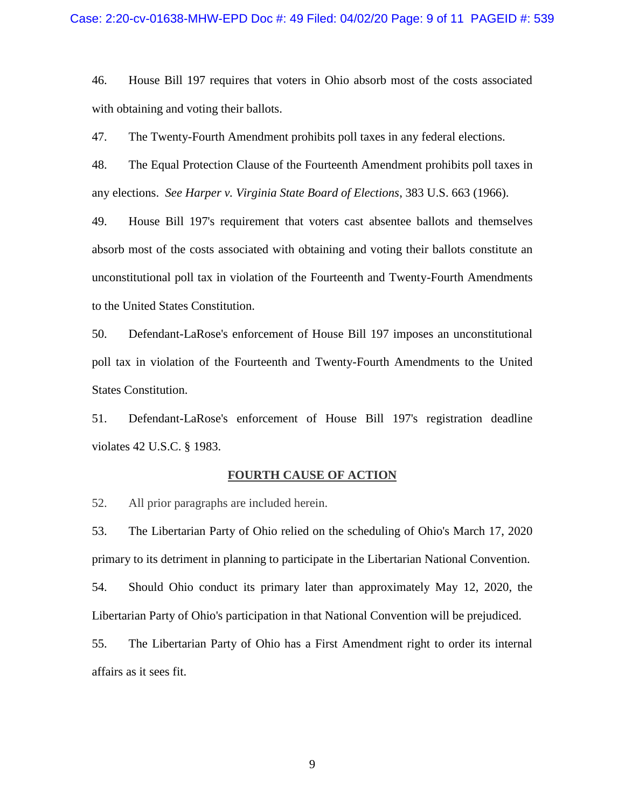46. House Bill 197 requires that voters in Ohio absorb most of the costs associated with obtaining and voting their ballots.

47. The Twenty-Fourth Amendment prohibits poll taxes in any federal elections.

48. The Equal Protection Clause of the Fourteenth Amendment prohibits poll taxes in any elections. *See Harper v. Virginia State Board of Elections*, 383 U.S. 663 (1966).

49. House Bill 197's requirement that voters cast absentee ballots and themselves absorb most of the costs associated with obtaining and voting their ballots constitute an unconstitutional poll tax in violation of the Fourteenth and Twenty-Fourth Amendments to the United States Constitution.

50. Defendant-LaRose's enforcement of House Bill 197 imposes an unconstitutional poll tax in violation of the Fourteenth and Twenty-Fourth Amendments to the United States Constitution.

51. Defendant-LaRose's enforcement of House Bill 197's registration deadline violates 42 U.S.C. § 1983.

#### **FOURTH CAUSE OF ACTION**

52. All prior paragraphs are included herein.

53. The Libertarian Party of Ohio relied on the scheduling of Ohio's March 17, 2020 primary to its detriment in planning to participate in the Libertarian National Convention.

54. Should Ohio conduct its primary later than approximately May 12, 2020, the Libertarian Party of Ohio's participation in that National Convention will be prejudiced.

55. The Libertarian Party of Ohio has a First Amendment right to order its internal affairs as it sees fit.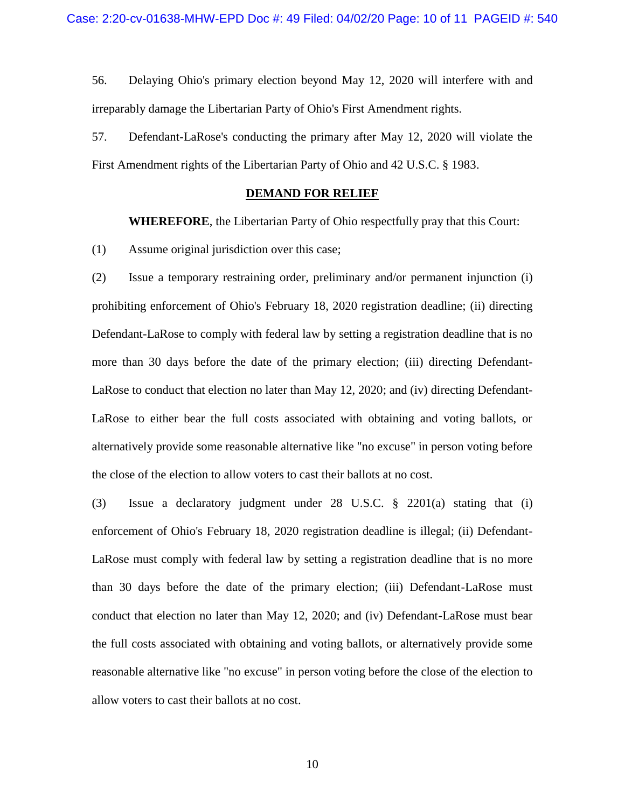56. Delaying Ohio's primary election beyond May 12, 2020 will interfere with and irreparably damage the Libertarian Party of Ohio's First Amendment rights.

57. Defendant-LaRose's conducting the primary after May 12, 2020 will violate the First Amendment rights of the Libertarian Party of Ohio and 42 U.S.C. § 1983.

### **DEMAND FOR RELIEF**

**WHEREFORE**, the Libertarian Party of Ohio respectfully pray that this Court:

(1) Assume original jurisdiction over this case;

(2) Issue a temporary restraining order, preliminary and/or permanent injunction (i) prohibiting enforcement of Ohio's February 18, 2020 registration deadline; (ii) directing Defendant-LaRose to comply with federal law by setting a registration deadline that is no more than 30 days before the date of the primary election; (iii) directing Defendant-LaRose to conduct that election no later than May 12, 2020; and (iv) directing Defendant-LaRose to either bear the full costs associated with obtaining and voting ballots, or alternatively provide some reasonable alternative like "no excuse" in person voting before the close of the election to allow voters to cast their ballots at no cost.

(3) Issue a declaratory judgment under 28 U.S.C. § 2201(a) stating that (i) enforcement of Ohio's February 18, 2020 registration deadline is illegal; (ii) Defendant-LaRose must comply with federal law by setting a registration deadline that is no more than 30 days before the date of the primary election; (iii) Defendant-LaRose must conduct that election no later than May 12, 2020; and (iv) Defendant-LaRose must bear the full costs associated with obtaining and voting ballots, or alternatively provide some reasonable alternative like "no excuse" in person voting before the close of the election to allow voters to cast their ballots at no cost.